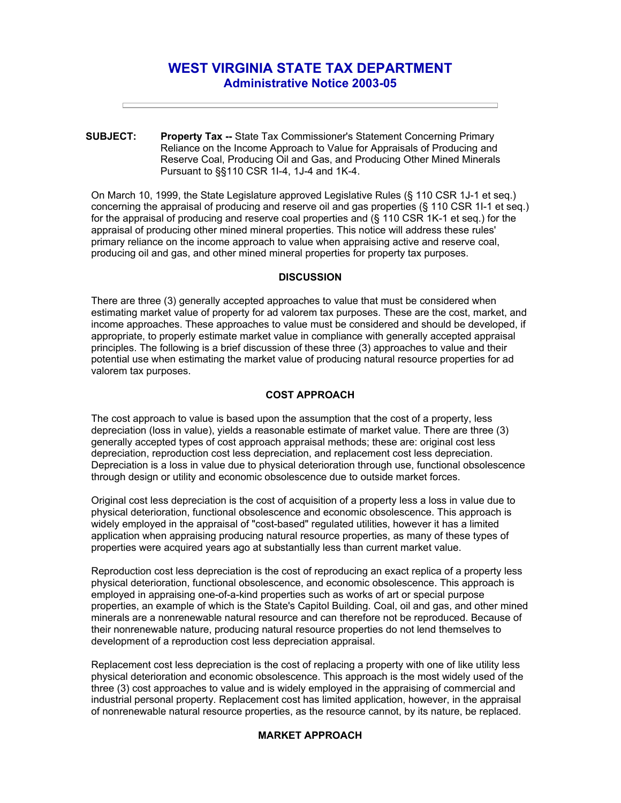# **WEST VIRGINIA STATE TAX DEPARTMENT Administrative Notice 2003-05**

**SUBJECT: Property Tax --** State Tax Commissioner's Statement Concerning Primary Reliance on the Income Approach to Value for Appraisals of Producing and Reserve Coal, Producing Oil and Gas, and Producing Other Mined Minerals Pursuant to §§110 CSR 1I-4, 1J-4 and 1K-4.

On March 10, 1999, the State Legislature approved Legislative Rules (§ 110 CSR 1J-1 et seq.) concerning the appraisal of producing and reserve oil and gas properties (§ 110 CSR 1I-1 et seq.) for the appraisal of producing and reserve coal properties and (§ 110 CSR 1K-1 et seq.) for the appraisal of producing other mined mineral properties. This notice will address these rules' primary reliance on the income approach to value when appraising active and reserve coal, producing oil and gas, and other mined mineral properties for property tax purposes.

## **DISCUSSION**

There are three (3) generally accepted approaches to value that must be considered when estimating market value of property for ad valorem tax purposes. These are the cost, market, and income approaches. These approaches to value must be considered and should be developed, if appropriate, to properly estimate market value in compliance with generally accepted appraisal principles. The following is a brief discussion of these three (3) approaches to value and their potential use when estimating the market value of producing natural resource properties for ad valorem tax purposes.

### **COST APPROACH**

The cost approach to value is based upon the assumption that the cost of a property, less depreciation (loss in value), yields a reasonable estimate of market value. There are three (3) generally accepted types of cost approach appraisal methods; these are: original cost less depreciation, reproduction cost less depreciation, and replacement cost less depreciation. Depreciation is a loss in value due to physical deterioration through use, functional obsolescence through design or utility and economic obsolescence due to outside market forces.

Original cost less depreciation is the cost of acquisition of a property less a loss in value due to physical deterioration, functional obsolescence and economic obsolescence. This approach is widely employed in the appraisal of "cost-based" regulated utilities, however it has a limited application when appraising producing natural resource properties, as many of these types of properties were acquired years ago at substantially less than current market value.

Reproduction cost less depreciation is the cost of reproducing an exact replica of a property less physical deterioration, functional obsolescence, and economic obsolescence. This approach is employed in appraising one-of-a-kind properties such as works of art or special purpose properties, an example of which is the State's Capitol Building. Coal, oil and gas, and other mined minerals are a nonrenewable natural resource and can therefore not be reproduced. Because of their nonrenewable nature, producing natural resource properties do not lend themselves to development of a reproduction cost less depreciation appraisal.

Replacement cost less depreciation is the cost of replacing a property with one of like utility less physical deterioration and economic obsolescence. This approach is the most widely used of the three (3) cost approaches to value and is widely employed in the appraising of commercial and industrial personal property. Replacement cost has limited application, however, in the appraisal of nonrenewable natural resource properties, as the resource cannot, by its nature, be replaced.

# **MARKET APPROACH**